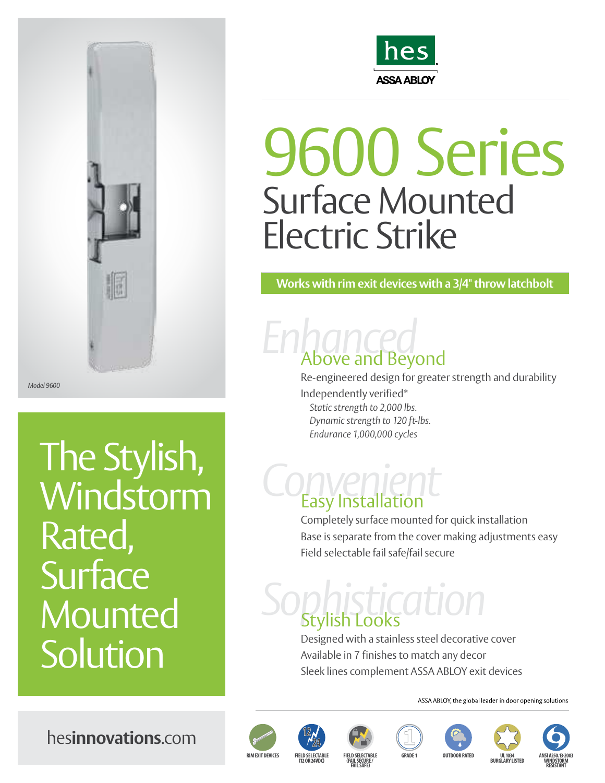

*Model 9600*

The Stylish, Windstorm Rated, **Surface** Mounted Solution



### 9600 Series Surface Mounted Electric Strike

**Works with rim exit devices with a 3/4" throw latchbolt**

## *Enhanced* Above and Beyond

Re-engineered design for greater strength and durability Independently verified\* *Static strength to 2,000 lbs. Dynamic strength to 120 ft-lbs. Endurance 1,000,000 cycles*

### *Convenient* Easy Installation

Completely surface mounted for quick installation Base is separate from the cover making adjustments easy Field selectable fail safe/fail secure

# *Sophistication* Stylish Looks

Designed with a stainless steel decorative cover Available in 7 finishes to match any decor Sleek lines complement ASSA ABLOY exit devices

ASSA ABLOY, the global leader in door opening solutions



**FAIL SAFE)**









hes**innovations**.com



**(12 OR 24VDC) FIELD SELECTABLE (FAIL SECURE /**